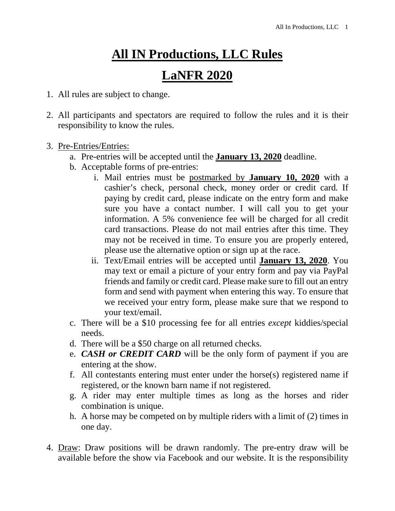## **All IN Productions, LLC Rules**

## **LaNFR 2020**

- 1. All rules are subject to change.
- 2. All participants and spectators are required to follow the rules and it is their responsibility to know the rules.
- 3. Pre-Entries/Entries:
	- a. Pre-entries will be accepted until the **January 13, 2020** deadline.
	- b. Acceptable forms of pre-entries:
		- i. Mail entries must be postmarked by **January 10, 2020** with a cashier's check, personal check, money order or credit card*.* If paying by credit card, please indicate on the entry form and make sure you have a contact number. I will call you to get your information. A 5% convenience fee will be charged for all credit card transactions. Please do not mail entries after this time. They may not be received in time. To ensure you are properly entered, please use the alternative option or sign up at the race.
		- ii. Text/Email entries will be accepted until **January 13, 2020**. You may text or email a picture of your entry form and pay via PayPal friends and family or credit card. Please make sure to fill out an entry form and send with payment when entering this way. To ensure that we received your entry form, please make sure that we respond to your text/email.
	- c. There will be a \$10 processing fee for all entries *except* kiddies/special needs.
	- d. There will be a \$50 charge on all returned checks.
	- e. *CASH or CREDIT CARD* will be the only form of payment if you are entering at the show.
	- f. All contestants entering must enter under the horse(s) registered name if registered, or the known barn name if not registered.
	- g. A rider may enter multiple times as long as the horses and rider combination is unique.
	- h. A horse may be competed on by multiple riders with a limit of (2) times in one day.
- 4. Draw: Draw positions will be drawn randomly. The pre-entry draw will be available before the show via Facebook and our website. It is the responsibility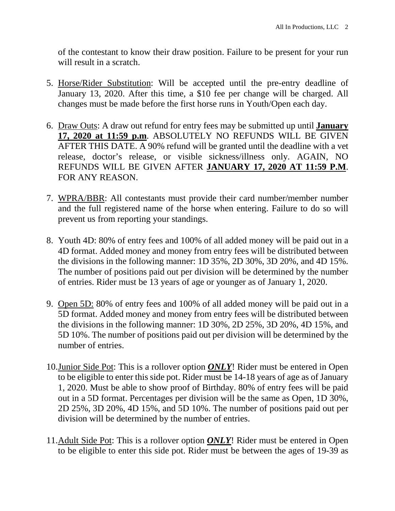of the contestant to know their draw position. Failure to be present for your run will result in a scratch.

- 5. Horse/Rider Substitution: Will be accepted until the pre-entry deadline of January 13, 2020. After this time, a \$10 fee per change will be charged. All changes must be made before the first horse runs in Youth/Open each day.
- 6. Draw Outs: A draw out refund for entry fees may be submitted up until **January 17, 2020 at 11:59 p.m**. ABSOLUTELY NO REFUNDS WILL BE GIVEN AFTER THIS DATE. A 90% refund will be granted until the deadline with a vet release, doctor's release, or visible sickness/illness only. AGAIN, NO REFUNDS WILL BE GIVEN AFTER **JANUARY 17, 2020 AT 11:59 P.M**. FOR ANY REASON.
- 7. WPRA/BBR: All contestants must provide their card number/member number and the full registered name of the horse when entering. Failure to do so will prevent us from reporting your standings.
- 8. Youth 4D: 80% of entry fees and 100% of all added money will be paid out in a 4D format. Added money and money from entry fees will be distributed between the divisions in the following manner: 1D 35%, 2D 30%, 3D 20%, and 4D 15%. The number of positions paid out per division will be determined by the number of entries. Rider must be 13 years of age or younger as of January 1, 2020.
- 9. Open 5D: 80% of entry fees and 100% of all added money will be paid out in a 5D format. Added money and money from entry fees will be distributed between the divisions in the following manner: 1D 30%, 2D 25%, 3D 20%, 4D 15%, and 5D 10%. The number of positions paid out per division will be determined by the number of entries.
- 10.Junior Side Pot: This is a rollover option *ONLY*! Rider must be entered in Open to be eligible to enter this side pot. Rider must be 14-18 years of age as of January 1, 2020. Must be able to show proof of Birthday. 80% of entry fees will be paid out in a 5D format. Percentages per division will be the same as Open, 1D 30%, 2D 25%, 3D 20%, 4D 15%, and 5D 10%. The number of positions paid out per division will be determined by the number of entries.
- 11.Adult Side Pot: This is a rollover option *ONLY*! Rider must be entered in Open to be eligible to enter this side pot. Rider must be between the ages of 19-39 as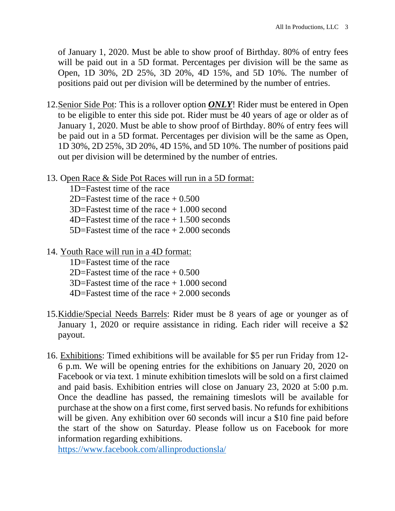of January 1, 2020. Must be able to show proof of Birthday. 80% of entry fees will be paid out in a 5D format. Percentages per division will be the same as Open, 1D 30%, 2D 25%, 3D 20%, 4D 15%, and 5D 10%. The number of positions paid out per division will be determined by the number of entries.

- 12.Senior Side Pot: This is a rollover option *ONLY*! Rider must be entered in Open to be eligible to enter this side pot. Rider must be 40 years of age or older as of January 1, 2020. Must be able to show proof of Birthday. 80% of entry fees will be paid out in a 5D format. Percentages per division will be the same as Open, 1D 30%, 2D 25%, 3D 20%, 4D 15%, and 5D 10%. The number of positions paid out per division will be determined by the number of entries.
- 13. Open Race & Side Pot Races will run in a 5D format:

 1D=Fastest time of the race 2D=Fastest time of the race  $+ 0.500$  $3D=Fastest$  time of the race  $+1.000$  second 4D=Fastest time of the race + 1.500 seconds 5D=Fastest time of the race + 2.000 seconds

14. Youth Race will run in a 4D format:

 1D=Fastest time of the race 2D=Fastest time of the race  $\pm 0.500$  3D=Fastest time of the race + 1.000 second 4D=Fastest time of the race + 2.000 seconds

- 15.Kiddie/Special Needs Barrels: Rider must be 8 years of age or younger as of January 1, 2020 or require assistance in riding. Each rider will receive a \$2 payout.
- 16. Exhibitions: Timed exhibitions will be available for \$5 per run Friday from 12- 6 p.m. We will be opening entries for the exhibitions on January 20, 2020 on Facebook or via text. 1 minute exhibition timeslots will be sold on a first claimed and paid basis. Exhibition entries will close on January 23, 2020 at 5:00 p.m. Once the deadline has passed, the remaining timeslots will be available for purchase at the show on a first come, first served basis. No refunds for exhibitions will be given. Any exhibition over 60 seconds will incur a \$10 fine paid before the start of the show on Saturday. Please follow us on Facebook for more information regarding exhibitions.

https://www.facebook.com/allinproductionsla/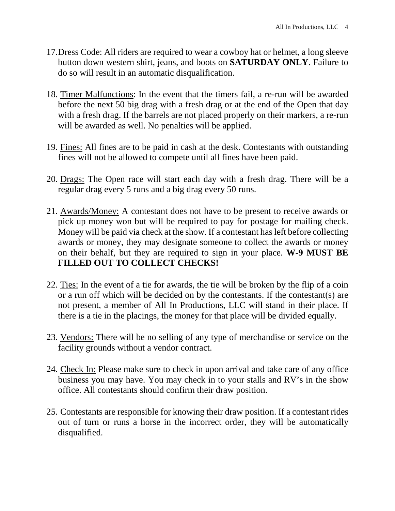- 17.Dress Code: All riders are required to wear a cowboy hat or helmet, a long sleeve button down western shirt, jeans, and boots on **SATURDAY ONLY**. Failure to do so will result in an automatic disqualification.
- 18. Timer Malfunctions: In the event that the timers fail, a re-run will be awarded before the next 50 big drag with a fresh drag or at the end of the Open that day with a fresh drag. If the barrels are not placed properly on their markers, a re-run will be awarded as well. No penalties will be applied.
- 19. Fines: All fines are to be paid in cash at the desk. Contestants with outstanding fines will not be allowed to compete until all fines have been paid.
- 20. Drags: The Open race will start each day with a fresh drag. There will be a regular drag every 5 runs and a big drag every 50 runs.
- 21. Awards/Money: A contestant does not have to be present to receive awards or pick up money won but will be required to pay for postage for mailing check. Money will be paid via check at the show. If a contestant has left before collecting awards or money, they may designate someone to collect the awards or money on their behalf, but they are required to sign in your place. **W-9 MUST BE FILLED OUT TO COLLECT CHECKS!**
- 22. Ties: In the event of a tie for awards, the tie will be broken by the flip of a coin or a run off which will be decided on by the contestants. If the contestant(s) are not present, a member of All In Productions, LLC will stand in their place. If there is a tie in the placings, the money for that place will be divided equally.
- 23. Vendors: There will be no selling of any type of merchandise or service on the facility grounds without a vendor contract.
- 24. Check In: Please make sure to check in upon arrival and take care of any office business you may have. You may check in to your stalls and RV's in the show office. All contestants should confirm their draw position.
- 25. Contestants are responsible for knowing their draw position. If a contestant rides out of turn or runs a horse in the incorrect order, they will be automatically disqualified.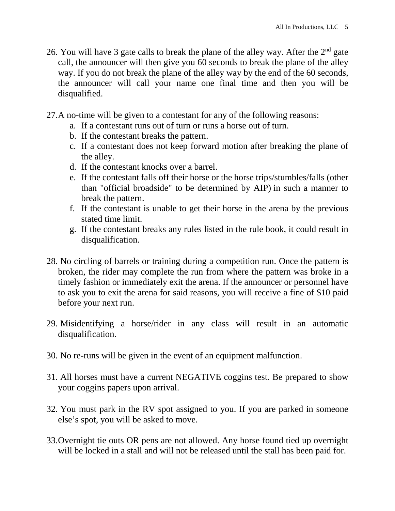- 26. You will have 3 gate calls to break the plane of the alley way. After the  $2<sup>nd</sup>$  gate call, the announcer will then give you 60 seconds to break the plane of the alley way. If you do not break the plane of the alley way by the end of the 60 seconds, the announcer will call your name one final time and then you will be disqualified.
- 27.A no-time will be given to a contestant for any of the following reasons:
	- a. If a contestant runs out of turn or runs a horse out of turn.
	- b. If the contestant breaks the pattern.
	- c. If a contestant does not keep forward motion after breaking the plane of the alley.
	- d. If the contestant knocks over a barrel.
	- e. If the contestant falls off their horse or the horse trips/stumbles/falls (other than "official broadside" to be determined by AIP) in such a manner to break the pattern.
	- f. If the contestant is unable to get their horse in the arena by the previous stated time limit.
	- g. If the contestant breaks any rules listed in the rule book, it could result in disqualification.
- 28. No circling of barrels or training during a competition run. Once the pattern is broken, the rider may complete the run from where the pattern was broke in a timely fashion or immediately exit the arena. If the announcer or personnel have to ask you to exit the arena for said reasons, you will receive a fine of \$10 paid before your next run.
- 29. Misidentifying a horse/rider in any class will result in an automatic disqualification.
- 30. No re-runs will be given in the event of an equipment malfunction.
- 31. All horses must have a current NEGATIVE coggins test. Be prepared to show your coggins papers upon arrival.
- 32. You must park in the RV spot assigned to you. If you are parked in someone else's spot, you will be asked to move.
- 33.Overnight tie outs OR pens are not allowed. Any horse found tied up overnight will be locked in a stall and will not be released until the stall has been paid for.